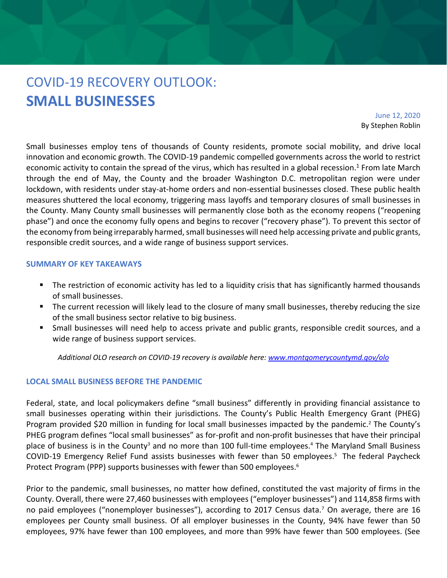# COVID-19 RECOVERY OUTLOOK: **SMALL BUSINESSES**

June 12, 2020 By Stephen Roblin

Small businesses employ tens of thousands of County residents, promote social mobility, and drive local innovation and economic growth. The COVID-19 pandemic compelled governments across the world to restrict economic activity to contain the spread of the virus, which has resulted in a global recession.<sup>1</sup> From late March through the end of May, the County and the broader Washington D.C. metropolitan region were under lockdown, with residents under stay-at-home orders and non-essential businesses closed. These public health measures shuttered the local economy, triggering mass layoffs and temporary closures of small businesses in the County. Many County small businesses will permanently close both as the economy reopens ("reopening phase") and once the economy fully opens and begins to recover ("recovery phase"). To prevent this sector of the economy from being irreparably harmed, small businesses will need help accessing private and public grants, responsible credit sources, and a wide range of business support services.

#### **SUMMARY OF KEY TAKEAWAYS**

- The restriction of economic activity has led to a liquidity crisis that has significantly harmed thousands of small businesses.
- The current recession will likely lead to the closure of many small businesses, thereby reducing the size of the small business sector relative to big business.
- Small businesses will need help to access private and public grants, responsible credit sources, and a wide range of business support services.

*Additional OLO research on COVID-19 recovery is available here: [www.montgomerycountymd.gov/olo](http://www.montgomerycountymd.gov/olo)*

#### **LOCAL SMALL BUSINESS BEFORE THE PANDEMIC**

Federal, state, and local policymakers define "small business" differently in providing financial assistance to small businesses operating within their jurisdictions. The County's Public Health Emergency Grant (PHEG) Program provided \$20 million in funding for local small businesses impacted by the pandemic.<sup>2</sup> The County's PHEG program defines "local small businesses" as for-profit and non-profit businesses that have their principal place of business is in the County<sup>3</sup> and no more than 100 full-time employees.<sup>4</sup> The Maryland Small Business COVID-19 Emergency Relief Fund assists businesses with fewer than 50 employees.<sup>5</sup> The federal Paycheck Protect Program (PPP) supports businesses with fewer than 500 employees. 6

Prior to the pandemic, small businesses, no matter how defined, constituted the vast majority of firms in the County. Overall, there were 27,460 businesses with employees ("employer businesses") and 114,858 firms with no paid employees ("nonemployer businesses"), according to 2017 Census data.<sup>7</sup> On average, there are 16 employees per County small business. Of all employer businesses in the County, 94% have fewer than 50 employees, 97% have fewer than 100 employees, and more than 99% have fewer than 500 employees. (See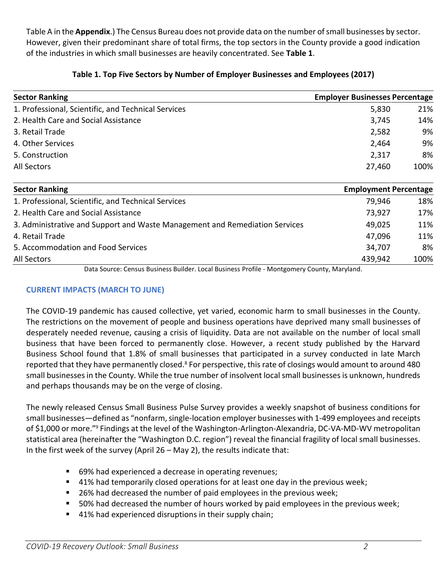Table A in the **Appendix**.) The Census Bureau does not provide data on the number of small businesses by sector. However, given their predominant share of total firms, the top sectors in the County provide a good indication of the industries in which small businesses are heavily concentrated. See **Table 1**.

| <b>Sector Ranking</b>                               | <b>Employer Businesses Percentage</b> |
|-----------------------------------------------------|---------------------------------------|
| 1. Professional, Scientific, and Technical Services | 21%<br>5,830                          |
| 2. Health Care and Social Assistance                | 14%<br>3,745                          |
| 3. Retail Trade                                     | 9%<br>2,582                           |
| 4. Other Services                                   | 9%<br>2,464                           |
| 5. Construction                                     | 8%<br>2,317                           |
| All Sectors                                         | 100%<br>27,460                        |

# **Table 1. Top Five Sectors by Number of Employer Businesses and Employees (2017)**

| <b>Sector Ranking</b>                                                       | <b>Employment Percentage</b> |      |
|-----------------------------------------------------------------------------|------------------------------|------|
| 1. Professional, Scientific, and Technical Services                         | 79,946                       | 18%  |
| 2. Health Care and Social Assistance                                        | 73,927                       | 17%  |
| 3. Administrative and Support and Waste Management and Remediation Services | 49,025                       | 11%  |
| 4. Retail Trade                                                             | 47,096                       | 11%  |
| 5. Accommodation and Food Services                                          | 34,707                       | 8%   |
| All Sectors                                                                 | 439,942                      | 100% |

Data Source: Census Business Builder. Local Business Profile - Montgomery County, Maryland.

# **CURRENT IMPACTS (MARCH TO JUNE)**

The COVID-19 pandemic has caused collective, yet varied, economic harm to small businesses in the County. The restrictions on the movement of people and business operations have deprived many small businesses of desperately needed revenue, causing a crisis of liquidity. Data are not available on the number of local small business that have been forced to permanently close. However, a recent study published by the Harvard Business School found that 1.8% of small businesses that participated in a survey conducted in late March reported that they have permanently closed.<sup>8</sup> For perspective, this rate of closings would amount to around 480 small businesses in the County. While the true number of insolvent local small businesses is unknown, hundreds and perhaps thousands may be on the verge of closing.

The newly released Census Small Business Pulse Survey provides a weekly snapshot of business conditions for small businesses—defined as "nonfarm, single-location employer businesses with 1-499 employees and receipts of \$1,000 or more."<sup>9</sup> Findings at the level of the Washington-Arlington-Alexandria, DC-VA-MD-WV metropolitan statistical area (hereinafter the "Washington D.C. region") reveal the financial fragility of local small businesses. In the first week of the survey (April 26 – May 2), the results indicate that:

- 69% had experienced a decrease in operating revenues;
- 41% had temporarily closed operations for at least one day in the previous week;
- 26% had decreased the number of paid employees in the previous week;
- 50% had decreased the number of hours worked by paid employees in the previous week;
- 41% had experienced disruptions in their supply chain;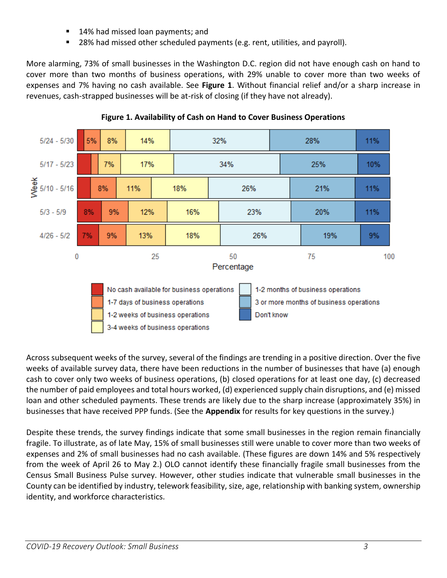- 14% had missed loan payments; and
- 28% had missed other scheduled payments (e.g. rent, utilities, and payroll).

More alarming, 73% of small businesses in the Washington D.C. region did not have enough cash on hand to cover more than two months of business operations, with 29% unable to cover more than two weeks of expenses and 7% having no cash available. See **Figure 1**. Without financial relief and/or a sharp increase in revenues, cash-strapped businesses will be at-risk of closing (if they have not already).



**Figure 1. Availability of Cash on Hand to Cover Business Operations**

Across subsequent weeks of the survey, several of the findings are trending in a positive direction. Over the five weeks of available survey data, there have been reductions in the number of businesses that have (a) enough cash to cover only two weeks of business operations, (b) closed operations for at least one day, (c) decreased the number of paid employees and total hours worked, (d) experienced supply chain disruptions, and (e) missed loan and other scheduled payments. These trends are likely due to the sharp increase (approximately 35%) in businesses that have received PPP funds. (See the **Appendix** for results for key questions in the survey.)

Despite these trends, the survey findings indicate that some small businesses in the region remain financially fragile. To illustrate, as of late May, 15% of small businesses still were unable to cover more than two weeks of expenses and 2% of small businesses had no cash available. (These figures are down 14% and 5% respectively from the week of April 26 to May 2.) OLO cannot identify these financially fragile small businesses from the Census Small Business Pulse survey. However, other studies indicate that vulnerable small businesses in the County can be identified by industry, telework feasibility, size, age, relationship with banking system, ownership identity, and workforce characteristics.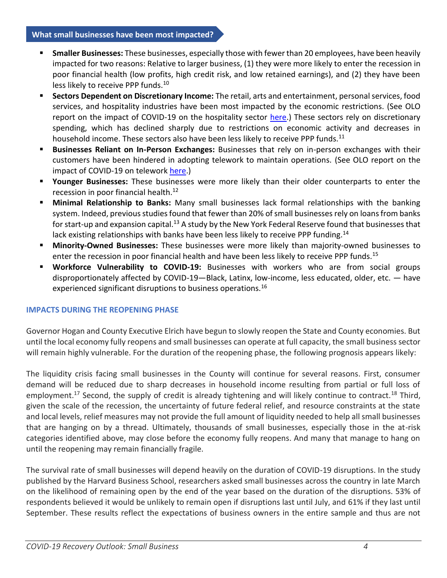#### **What small businesses have been most impacted?**

- **Smaller Businesses:** These businesses, especially those with fewer than 20 employees, have been heavily impacted for two reasons: Relative to larger business, (1) they were more likely to enter the recession in poor financial health (low profits, high credit risk, and low retained earnings), and (2) they have been less likely to receive PPP funds.<sup>10</sup>
- Sectors Dependent on Discretionary Income: The retail, arts and entertainment, personal services, food services, and hospitality industries have been most impacted by the economic restrictions. (See OLO report on the impact of COVID-19 on the hospitality sector [here.](https://www.montgomerycountymd.gov/OLO/Resources/Files/2020%20Reports/COVID-19RecoveryCommercialRealEstateHospitality.pdf)) These sectors rely on discretionary spending, which has declined sharply due to restrictions on economic activity and decreases in household income. These sectors also have been less likely to receive PPP funds.<sup>11</sup>
- **EXEDENSIES:** Businesses Reliant on In-Person Exchanges: Businesses that rely on in-person exchanges with their customers have been hindered in adopting telework to maintain operations. (See OLO report on the impact of COVID-19 on telework [here.](https://www.montgomerycountymd.gov/OLO/Resources/Files/2020%20Reports/COVID-19RecoveryTeleworkEconomicDevelopment.pdf))
- **EXP** Younger Businesses: These businesses were more likely than their older counterparts to enter the recession in poor financial health.<sup>12</sup>
- **Minimal Relationship to Banks:** Many small businesses lack formal relationships with the banking system. Indeed, previous studies found that fewer than 20% of small businesses rely on loans from banks for start-up and expansion capital.<sup>13</sup> A study by the New York Federal Reserve found that businesses that lack existing relationships with banks have been less likely to receive PPP funding.<sup>14</sup>
- **Minority-Owned Businesses:** These businesses were more likely than majority-owned businesses to enter the recession in poor financial health and have been less likely to receive PPP funds.<sup>15</sup>
- **Workforce Vulnerability to COVID-19:** Businesses with workers who are from social groups disproportionately affected by COVID-19—Black, Latinx, low-income, less educated, older, etc. — have experienced significant disruptions to business operations.<sup>16</sup>

## **IMPACTS DURING THE REOPENING PHASE**

Governor Hogan and County Executive Elrich have begun to slowly reopen the State and County economies. But until the local economy fully reopens and small businesses can operate at full capacity, the small business sector will remain highly vulnerable. For the duration of the reopening phase, the following prognosis appears likely:

The liquidity crisis facing small businesses in the County will continue for several reasons. First, consumer demand will be reduced due to sharp decreases in household income resulting from partial or full loss of employment.<sup>17</sup> Second, the supply of credit is already tightening and will likely continue to contract.<sup>18</sup> Third, given the scale of the recession, the uncertainty of future federal relief, and resource constraints at the state and local levels, relief measures may not provide the full amount of liquidity needed to help all small businesses that are hanging on by a thread. Ultimately, thousands of small businesses, especially those in the at-risk categories identified above, may close before the economy fully reopens. And many that manage to hang on until the reopening may remain financially fragile.

The survival rate of small businesses will depend heavily on the duration of COVID-19 disruptions. In the study published by the Harvard Business School, researchers asked small businesses across the country in late March on the likelihood of remaining open by the end of the year based on the duration of the disruptions. 53% of respondents believed it would be unlikely to remain open if disruptions last until July, and 61% if they last until September. These results reflect the expectations of business owners in the entire sample and thus are not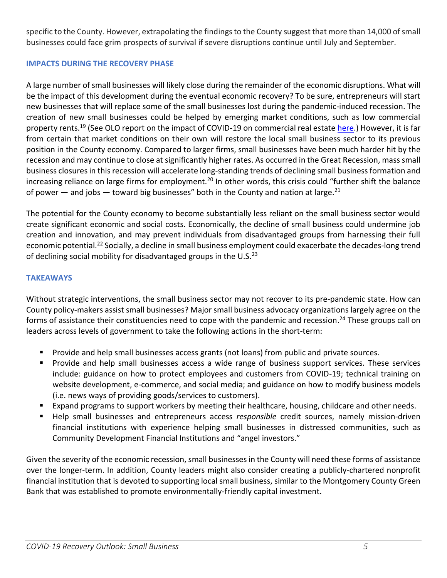specific to the County. However, extrapolating the findings to the County suggest that more than 14,000 of small businesses could face grim prospects of survival if severe disruptions continue until July and September.

## **IMPACTS DURING THE RECOVERY PHASE**

A large number of small businesses will likely close during the remainder of the economic disruptions. What will be the impact of this development during the eventual economic recovery? To be sure, entrepreneurs will start new businesses that will replace some of the small businesses lost during the pandemic-induced recession. The creation of new small businesses could be helped by emerging market conditions, such as low commercial property rents.<sup>19</sup> (See OLO report on the impact of COVID-19 on commercial real estate [here.](https://www.montgomerycountymd.gov/OLO/Resources/Files/2020%20Reports/COVID-19RecoveryOfficeIndustrialCommercialRealEstate.pdf)) However, it is far from certain that market conditions on their own will restore the local small business sector to its previous position in the County economy. Compared to larger firms, small businesses have been much harder hit by the recession and may continue to close at significantly higher rates. As occurred in the Great Recession, mass small business closures in this recession will accelerate long-standing trends of declining small business formation and increasing reliance on large firms for employment.<sup>20</sup> In other words, this crisis could "further shift the balance of power  $-$  and jobs  $-$  toward big businesses" both in the County and nation at large.<sup>21</sup>

The potential for the County economy to become substantially less reliant on the small business sector would create significant economic and social costs. Economically, the decline of small business could undermine job creation and innovation, and may prevent individuals from disadvantaged groups from harnessing their full economic potential.<sup>22</sup> Socially, a decline in small business employment could exacerbate the decades-long trend of declining social mobility for disadvantaged groups in the U.S. $^{23}$ 

# **TAKEAWAYS**

Without strategic interventions, the small business sector may not recover to its pre-pandemic state. How can County policy-makers assist small businesses? Major small business advocacy organizations largely agree on the forms of assistance their constituencies need to cope with the pandemic and recession.<sup>24</sup> These groups call on leaders across levels of government to take the following actions in the short-term:

- Provide and help small businesses access grants (not loans) from public and private sources.
- Provide and help small businesses access a wide range of business support services. These services include: guidance on how to protect employees and customers from COVID-19; technical training on website development, e-commerce, and social media; and guidance on how to modify business models (i.e. news ways of providing goods/services to customers).
- Expand programs to support workers by meeting their healthcare, housing, childcare and other needs.
- Help small businesses and entrepreneurs access *responsible* credit sources, namely mission-driven financial institutions with experience helping small businesses in distressed communities, such as Community Development Financial Institutions and "angel investors."

Given the severity of the economic recession, small businesses in the County will need these forms of assistance over the longer-term. In addition, County leaders might also consider creating a publicly-chartered nonprofit financial institution that is devoted to supporting local small business, similar to the Montgomery County Green Bank that was established to promote environmentally-friendly capital investment.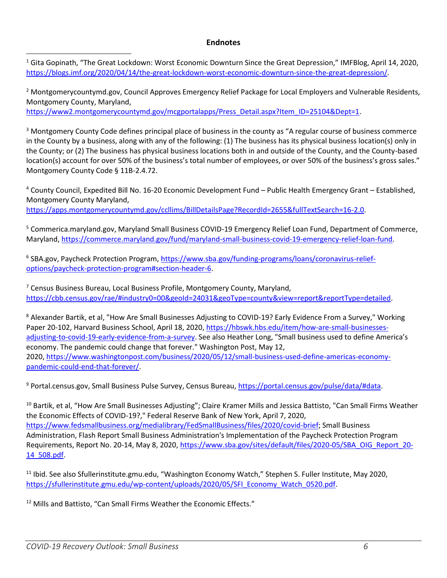## **Endnotes**

 $1$  Gita Gopinath, "The Great Lockdown: Worst Economic Downturn Since the Great Depression," IMFBlog, April 14, 2020, [https://blogs.imf.org/2020/04/14/the-great-lockdown-worst-economic-downturn-since-the-great-depression/.](https://blogs.imf.org/2020/04/14/the-great-lockdown-worst-economic-downturn-since-the-great-depression/)

<sup>2</sup> Montgomerycountymd.gov, Council Approves Emergency Relief Package for Local Employers and Vulnerable Residents, Montgomery County, Maryland,

[https://www2.montgomerycountymd.gov/mcgportalapps/Press\\_Detail.aspx?Item\\_ID=25104&Dept=1.](https://www2.montgomerycountymd.gov/mcgportalapps/Press_Detail.aspx?Item_ID=25104&Dept=1)

<sup>3</sup> Montgomery County Code defines principal place of business in the county as "A regular course of business commerce in the County by a business, along with any of the following: (1) The business has its physical business location(s) only in the County; or (2) The business has physical business locations both in and outside of the County, and the County-based location(s) account for over 50% of the business's total number of employees, or over 50% of the business's gross sales." Montgomery County Code § 11B-2.4.72.

<sup>4</sup> County Council, Expedited Bill No. 16-20 Economic Development Fund – Public Health Emergency Grant – Established, Montgomery County Maryland,

[https://apps.montgomerycountymd.gov/ccllims/BillDetailsPage?RecordId=2655&fullTextSearch=16-2.0.](https://apps.montgomerycountymd.gov/ccllims/BillDetailsPage?RecordId=2655&fullTextSearch=16-2.0)

<sup>5</sup> Commerica.maryland.gov, Maryland Small Business COVID-19 Emergency Relief Loan Fund, Department of Commerce, Maryland, [https://commerce.maryland.gov/fund/maryland-small-business-covid-19-emergency-relief-loan-fund.](https://commerce.maryland.gov/fund/maryland-small-business-covid-19-emergency-relief-loan-fund)

<sup>6</sup> SBA.gov, Paycheck Protection Program, *https://www.sba.gov/funding-programs/loans/coronavirus-relief*[options/paycheck-protection-program#section-header-6.](https://www.sba.gov/funding-programs/loans/coronavirus-relief-options/paycheck-protection-program#section-header-6)

<sup>7</sup> Census Business Bureau, Local Business Profile, Montgomery County, Maryland, [https://cbb.census.gov/rae/#industry0=00&geoId=24031&geoType=county&view=report&reportType=detailed.](https://cbb.census.gov/rae/#industry0=00&geoId=24031&geoType=county&view=report&reportType=detailed)

<sup>8</sup> Alexander Bartik, et al, "How Are Small Businesses Adjusting to COVID-19? Early Evidence From a Survey," Working Paper 20-102, Harvard Business School, April 18, 2020[, https://hbswk.hbs.edu/item/how-are-small-businesses](https://hbswk.hbs.edu/item/how-are-small-businesses-adjusting-to-covid-19-early-evidence-from-a-survey)[adjusting-to-covid-19-early-evidence-from-a-survey](https://hbswk.hbs.edu/item/how-are-small-businesses-adjusting-to-covid-19-early-evidence-from-a-survey). See also Heather Long, "Small business used to define America's economy. The pandemic could change that forever." Washington Post, May 12, 2020, [https://www.washingtonpost.com/business/2020/05/12/small-business-used-define-americas-economy](https://www.washingtonpost.com/business/2020/05/12/small-business-used-define-americas-economy-pandemic-could-end-that-forever/)[pandemic-could-end-that-forever/.](https://www.washingtonpost.com/business/2020/05/12/small-business-used-define-americas-economy-pandemic-could-end-that-forever/)

<sup>9</sup> Portal.census.gov, Small Business Pulse Survey, Census Bureau, [https://portal.census.gov/pulse/data/#data.](https://portal.census.gov/pulse/data/#data)

<sup>10</sup> Bartik, et al, "How Are Small Businesses Adjusting"; Claire Kramer Mills and Jessica Battisto, "Can Small Firms Weather the Economic Effects of COVID-19?," Federal Reserve Bank of New York, April 7, 2020, [https://www.fedsmallbusiness.org/medialibrary/FedSmallBusiness/files/2020/covid-brief;](https://www.fedsmallbusiness.org/medialibrary/FedSmallBusiness/files/2020/covid-brief) Small Business Administration, Flash Report Small Business Administration's Implementation of the Paycheck Protection Program Requirements, Report No. 20-14, May 8, 2020[, https://www.sba.gov/sites/default/files/2020-05/SBA\\_OIG\\_Report\\_20-](https://www.sba.gov/sites/default/files/2020-05/SBA_OIG_Report_20-14_508.pdf) [14\\_508.pdf.](https://www.sba.gov/sites/default/files/2020-05/SBA_OIG_Report_20-14_508.pdf)

<sup>11</sup> Ibid. See also Sfullerinstitute.gmu.edu, "Washington Economy Watch," Stephen S. Fuller Institute, May 2020, [https://sfullerinstitute.gmu.edu/wp-content/uploads/2020/05/SFI\\_Economy\\_Watch\\_0520.pdf.](https://sfullerinstitute.gmu.edu/wp-content/uploads/2020/05/SFI_Economy_Watch_0520.pdf)

<sup>12</sup> Mills and Battisto, "Can Small Firms Weather the Economic Effects."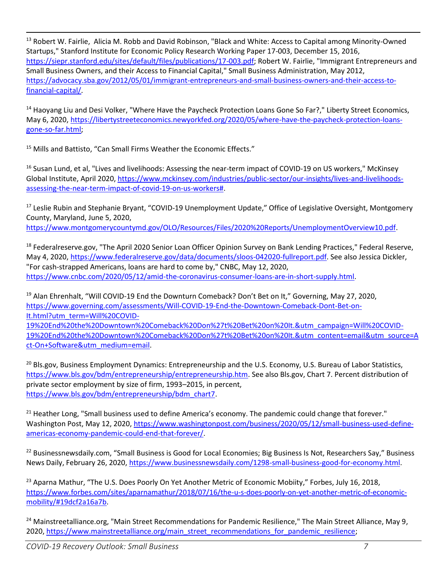<sup>13</sup> Robert W. Fairlie, Alicia M. Robb and David Robinson, "Black and White: Access to Capital among Minority-Owned Startups," Stanford Institute for Economic Policy Research Working Paper 17-003, December 15, 2016, [https://siepr.stanford.edu/sites/default/files/publications/17-003.pdf;](https://siepr.stanford.edu/sites/default/files/publications/17-003.pdf) Robert W. Fairlie, "Immigrant Entrepreneurs and Small Business Owners, and their Access to Financial Capital," Small Business Administration, May 2012, [https://advocacy.sba.gov/2012/05/01/immigrant-entrepreneurs-and-small-business-owners-and-their-access-to](https://advocacy.sba.gov/2012/05/01/immigrant-entrepreneurs-and-small-business-owners-and-their-access-to-financial-capital/)[financial-capital/.](https://advocacy.sba.gov/2012/05/01/immigrant-entrepreneurs-and-small-business-owners-and-their-access-to-financial-capital/)

<sup>14</sup> Haoyang Liu and Desi Volker, "Where Have the Paycheck Protection Loans Gone So Far?," Liberty Street Economics, May 6, 2020[, https://libertystreeteconomics.newyorkfed.org/2020/05/where-have-the-paycheck-protection-loans](https://libertystreeteconomics.newyorkfed.org/2020/05/where-have-the-paycheck-protection-loans-gone-so-far.html)[gone-so-far.html;](https://libertystreeteconomics.newyorkfed.org/2020/05/where-have-the-paycheck-protection-loans-gone-so-far.html)

<sup>15</sup> Mills and Battisto, "Can Small Firms Weather the Economic Effects."

<sup>16</sup> Susan Lund, et al, "Lives and livelihoods: Assessing the near-term impact of COVID-19 on US workers," McKinsey Global Institute, April 2020, [https://www.mckinsey.com/industries/public-sector/our-insights/lives-and-livelihoods](https://www.mckinsey.com/industries/public-sector/our-insights/lives-and-livelihoods-assessing-the-near-term-impact-of-covid-19-on-us-workers)[assessing-the-near-term-impact-of-covid-19-on-us-workers#.](https://www.mckinsey.com/industries/public-sector/our-insights/lives-and-livelihoods-assessing-the-near-term-impact-of-covid-19-on-us-workers)

<sup>17</sup> Leslie Rubin and Stephanie Bryant, "COVID-19 Unemployment Update," Office of Legislative Oversight, Montgomery County, Maryland, June 5, 2020,

[https://www.montgomerycountymd.gov/OLO/Resources/Files/2020%20Reports/UnemploymentOverview10.pdf.](https://www.montgomerycountymd.gov/OLO/Resources/Files/2020%20Reports/UnemploymentOverview10.pdf)

<sup>18</sup> Federalreserve.gov, "The April 2020 Senior Loan Officer Opinion Survey on Bank Lending Practices," Federal Reserve, May 4, 2020[, https://www.federalreserve.gov/data/documents/sloos-042020-fullreport.pdf.](https://www.federalreserve.gov/data/documents/sloos-042020-fullreport.pdf) See also Jessica Dickler, "For cash-strapped Americans, loans are hard to come by," CNBC, May 12, 2020, [https://www.cnbc.com/2020/05/12/amid-the-coronavirus-consumer-loans-are-in-short-supply.html.](https://www.cnbc.com/2020/05/12/amid-the-coronavirus-consumer-loans-are-in-short-supply.html)

<sup>19</sup> Alan Ehrenhalt, "Will COVID-19 End the Downturn Comeback? Don't Bet on It," Governing, May 27, 2020, [https://www.governing.com/assessments/Will-COVID-19-End-the-Downtown-Comeback-Dont-Bet-on-](https://www.governing.com/assessments/Will-COVID-19-End-the-Downtown-Comeback-Dont-Bet-on-It.html?utm_term=Will%20COVID-19%20End%20the%20Downtown%20Comeback%20Don%27t%20Bet%20on%20It.&utm_campaign=Will%20COVID-19%20End%20the%20Downtown%20Comeback%20Don%27t%20Bet%20on%20It.&utm_content=email&utm_source=Act-On+Software&utm_medium=email)[It.html?utm\\_term=Will%20COVID-](https://www.governing.com/assessments/Will-COVID-19-End-the-Downtown-Comeback-Dont-Bet-on-It.html?utm_term=Will%20COVID-19%20End%20the%20Downtown%20Comeback%20Don%27t%20Bet%20on%20It.&utm_campaign=Will%20COVID-19%20End%20the%20Downtown%20Comeback%20Don%27t%20Bet%20on%20It.&utm_content=email&utm_source=Act-On+Software&utm_medium=email)

[19%20End%20the%20Downtown%20Comeback%20Don%27t%20Bet%20on%20It.&utm\\_campaign=Will%20COVID-](https://www.governing.com/assessments/Will-COVID-19-End-the-Downtown-Comeback-Dont-Bet-on-It.html?utm_term=Will%20COVID-19%20End%20the%20Downtown%20Comeback%20Don%27t%20Bet%20on%20It.&utm_campaign=Will%20COVID-19%20End%20the%20Downtown%20Comeback%20Don%27t%20Bet%20on%20It.&utm_content=email&utm_source=Act-On+Software&utm_medium=email)[19%20End%20the%20Downtown%20Comeback%20Don%27t%20Bet%20on%20It.&utm\\_content=email&utm\\_source=A](https://www.governing.com/assessments/Will-COVID-19-End-the-Downtown-Comeback-Dont-Bet-on-It.html?utm_term=Will%20COVID-19%20End%20the%20Downtown%20Comeback%20Don%27t%20Bet%20on%20It.&utm_campaign=Will%20COVID-19%20End%20the%20Downtown%20Comeback%20Don%27t%20Bet%20on%20It.&utm_content=email&utm_source=Act-On+Software&utm_medium=email) [ct-On+Software&utm\\_medium=email.](https://www.governing.com/assessments/Will-COVID-19-End-the-Downtown-Comeback-Dont-Bet-on-It.html?utm_term=Will%20COVID-19%20End%20the%20Downtown%20Comeback%20Don%27t%20Bet%20on%20It.&utm_campaign=Will%20COVID-19%20End%20the%20Downtown%20Comeback%20Don%27t%20Bet%20on%20It.&utm_content=email&utm_source=Act-On+Software&utm_medium=email)

<sup>20</sup> Bls.gov, Business Employment Dynamics: Entrepreneurship and the U.S. Economy, U.S. Bureau of Labor Statistics, [https://www.bls.gov/bdm/entrepreneurship/entrepreneurship.htm.](https://www.bls.gov/bdm/entrepreneurship/entrepreneurship.htm) See also Bls.gov, Chart 7. Percent distribution of private sector employment by size of firm, 1993–2015, in percent, [https://www.bls.gov/bdm/entrepreneurship/bdm\\_chart7.](https://www.bls.gov/bdm/entrepreneurship/bdm_chart7)

<sup>21</sup> Heather Long, "Small business used to define America's economy. The pandemic could change that forever." Washington Post, May 12, 2020, [https://www.washingtonpost.com/business/2020/05/12/small-business-used-define](https://www.washingtonpost.com/business/2020/05/12/small-business-used-define-americas-economy-pandemic-could-end-that-forever/)[americas-economy-pandemic-could-end-that-forever/.](https://www.washingtonpost.com/business/2020/05/12/small-business-used-define-americas-economy-pandemic-could-end-that-forever/)

 $22$  Businessnewsdaily.com, "Small Business is Good for Local Economies; Big Business Is Not, Researchers Say," Business News Daily, February 26, 2020, [https://www.businessnewsdaily.com/1298-small-business-good-for-economy.html.](https://www.businessnewsdaily.com/1298-small-business-good-for-economy.html)

<sup>23</sup> Aparna Mathur, "The U.S. Does Poorly On Yet Another Metric of Economic Mobiity," Forbes, July 16, 2018, [https://www.forbes.com/sites/aparnamathur/2018/07/16/the-u-s-does-poorly-on-yet-another-metric-of-economic](https://www.forbes.com/sites/aparnamathur/2018/07/16/the-u-s-does-poorly-on-yet-another-metric-of-economic-mobility/#19dcf2a16a7b)[mobility/#19dcf2a16a7b.](https://www.forbes.com/sites/aparnamathur/2018/07/16/the-u-s-does-poorly-on-yet-another-metric-of-economic-mobility/#19dcf2a16a7b)

<sup>24</sup> Mainstreetalliance.org, "Main Street Recommendations for Pandemic Resilience," The Main Street Alliance, May 9, 2020[, https://www.mainstreetalliance.org/main\\_street\\_recommendations\\_for\\_pandemic\\_resilience;](https://www.mainstreetalliance.org/main_street_recommendations_for_pandemic_resilience)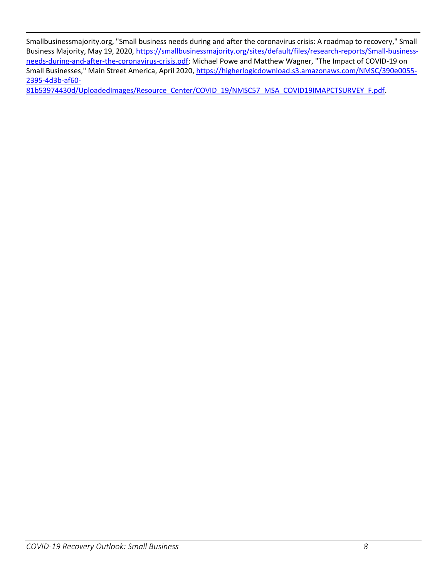Smallbusinessmajority.org, "Small business needs during and after the coronavirus crisis: A roadmap to recovery," Small Business Majority, May 19, 2020, [https://smallbusinessmajority.org/sites/default/files/research-reports/Small-business](https://smallbusinessmajority.org/sites/default/files/research-reports/Small-business-needs-during-and-after-the-coronavirus-crisis.pdf)[needs-during-and-after-the-coronavirus-crisis.pdf;](https://smallbusinessmajority.org/sites/default/files/research-reports/Small-business-needs-during-and-after-the-coronavirus-crisis.pdf) Michael Powe and Matthew Wagner, "The Impact of COVID-19 on Small Businesses," Main Street America, April 2020, [https://higherlogicdownload.s3.amazonaws.com/NMSC/390e0055-](https://higherlogicdownload.s3.amazonaws.com/NMSC/390e0055-2395-4d3b-af60-81b53974430d/UploadedImages/Resource_Center/COVID_19/NMSC57_MSA_COVID19IMAPCTSURVEY_F.pdf) [2395-4d3b-af60-](https://higherlogicdownload.s3.amazonaws.com/NMSC/390e0055-2395-4d3b-af60-81b53974430d/UploadedImages/Resource_Center/COVID_19/NMSC57_MSA_COVID19IMAPCTSURVEY_F.pdf)

[81b53974430d/UploadedImages/Resource\\_Center/COVID\\_19/NMSC57\\_MSA\\_COVID19IMAPCTSURVEY\\_F.pdf.](https://higherlogicdownload.s3.amazonaws.com/NMSC/390e0055-2395-4d3b-af60-81b53974430d/UploadedImages/Resource_Center/COVID_19/NMSC57_MSA_COVID19IMAPCTSURVEY_F.pdf)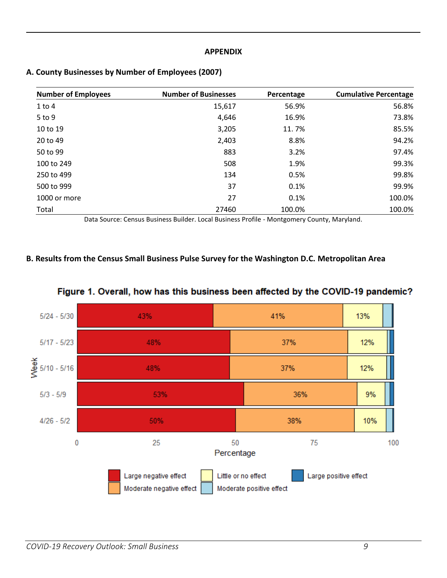#### **APPENDIX**

| <b>Number of Employees</b> | <b>Number of Businesses</b>             | Percentage                 | <b>Cumulative Percentage</b> |
|----------------------------|-----------------------------------------|----------------------------|------------------------------|
| $1$ to $4$                 | 15,617                                  | 56.9%                      | 56.8%                        |
| 5 to 9                     | 4,646                                   | 16.9%                      | 73.8%                        |
| 10 to 19                   | 3,205                                   | 11.7%                      | 85.5%                        |
| 20 to 49                   | 2,403                                   | 8.8%                       | 94.2%                        |
| 50 to 99                   | 883                                     | 3.2%                       | 97.4%                        |
| 100 to 249                 | 508                                     | 1.9%                       | 99.3%                        |
| 250 to 499                 | 134                                     | 0.5%                       | 99.8%                        |
| 500 to 999                 | 37                                      | 0.1%                       | 99.9%                        |
| 1000 or more               | 27                                      | 0.1%                       | 100.0%                       |
| Total<br>$\sim$<br>- - -   | 27460<br>- - -<br>$ -$<br>$\sim$ $\sim$ | 100.0%<br>$\sim$<br>$\sim$ | 100.0%<br>.                  |

## **A. County Businesses by Number of Employees (2007)**

Data Source: Census Business Builder. Local Business Profile - Montgomery County, Maryland.

## **B. Results from the Census Small Business Pulse Survey for the Washington D.C. Metropolitan Area**



# Figure 1. Overall, how has this business been affected by the COVID-19 pandemic?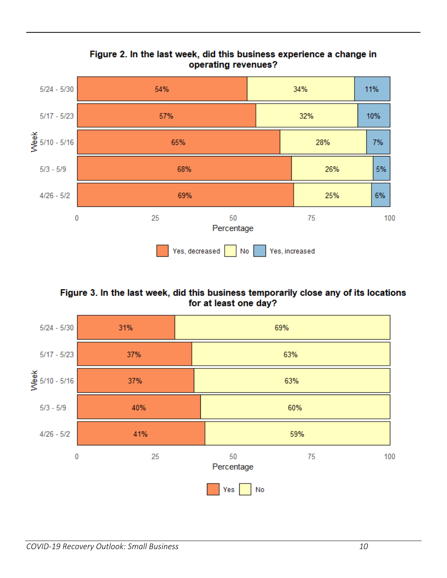

# Figure 2. In the last week, did this business experience a change in operating revenues?

Figure 3. In the last week, did this business temporarily close any of its locations for at least one day?

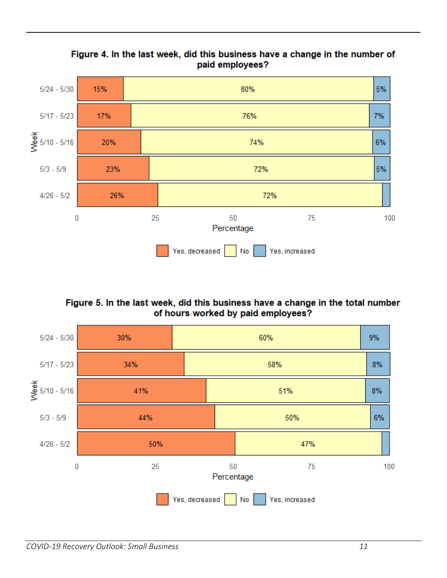

# Figure 4. In the last week, did this business have a change in the number of paid employees?

Figure 5. In the last week, did this business have a change in the total number of hours worked by paid employees?

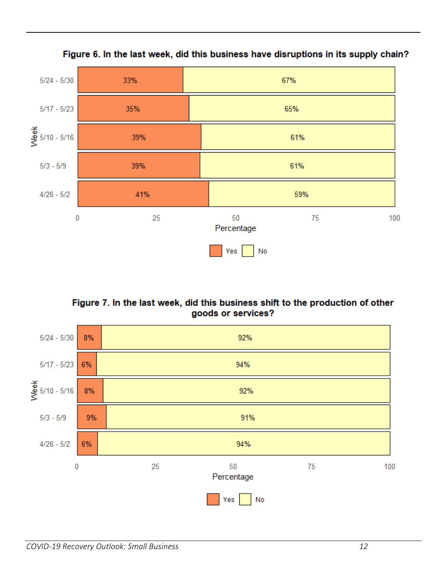



# Figure 7. In the last week, did this business shift to the production of other goods or services?

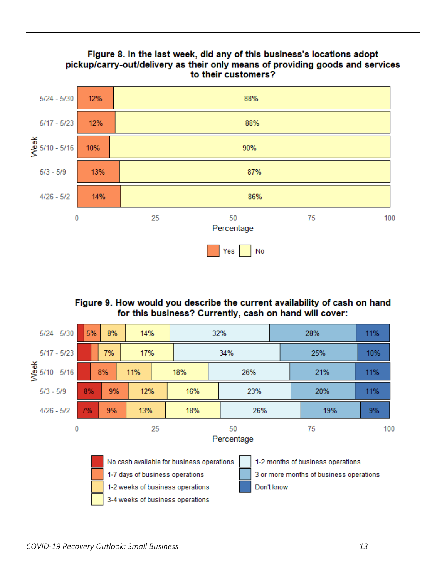

# Figure 9. How would you describe the current availability of cash on hand for this business? Currently, cash on hand will cover:

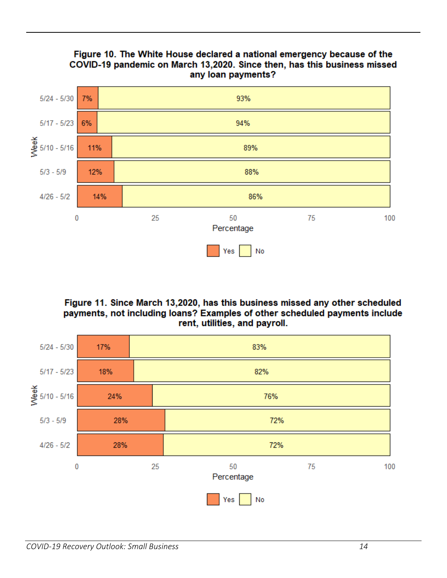

# Figure 11. Since March 13,2020, has this business missed any other scheduled payments, not including loans? Examples of other scheduled payments include rent, utilities, and payroll.

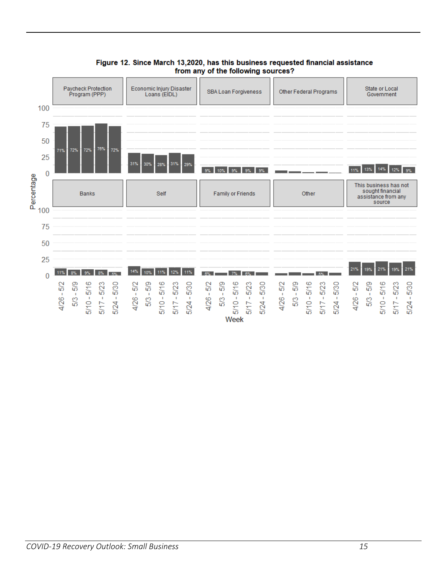

#### Figure 12. Since March 13,2020, has this business requested financial assistance from any of the following sources?